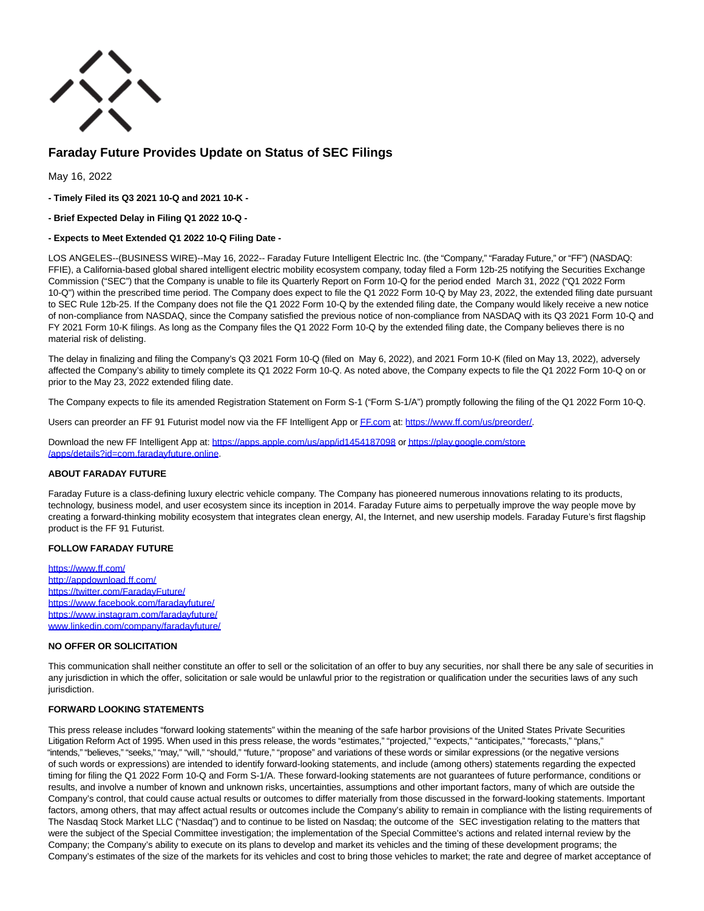

# **Faraday Future Provides Update on Status of SEC Filings**

May 16, 2022

- **Timely Filed its Q3 2021 10-Q and 2021 10-K -**
- **Brief Expected Delay in Filing Q1 2022 10-Q -**
- **Expects to Meet Extended Q1 2022 10-Q Filing Date -**

LOS ANGELES--(BUSINESS WIRE)--May 16, 2022-- Faraday Future Intelligent Electric Inc. (the "Company," "Faraday Future," or "FF") (NASDAQ: FFIE), a California-based global shared intelligent electric mobility ecosystem company, today filed a Form 12b-25 notifying the Securities Exchange Commission ("SEC") that the Company is unable to file its Quarterly Report on Form 10-Q for the period ended March 31, 2022 ("Q1 2022 Form 10-Q") within the prescribed time period. The Company does expect to file the Q1 2022 Form 10-Q by May 23, 2022, the extended filing date pursuant to SEC Rule 12b-25. If the Company does not file the Q1 2022 Form 10-Q by the extended filing date, the Company would likely receive a new notice of non-compliance from NASDAQ, since the Company satisfied the previous notice of non-compliance from NASDAQ with its Q3 2021 Form 10-Q and FY 2021 Form 10-K filings. As long as the Company files the Q1 2022 Form 10-Q by the extended filing date, the Company believes there is no material risk of delisting.

The delay in finalizing and filing the Company's Q3 2021 Form 10-Q (filed on May 6, 2022), and 2021 Form 10-K (filed on May 13, 2022), adversely affected the Company's ability to timely complete its Q1 2022 Form 10-Q. As noted above, the Company expects to file the Q1 2022 Form 10-Q on or prior to the May 23, 2022 extended filing date.

The Company expects to file its amended Registration Statement on Form S-1 ("Form S-1/A") promptly following the filing of the Q1 2022 Form 10-Q.

Users can preorder an FF 91 Futurist model now via the FF Intelligent App o[r FF.com a](http://ff.com/)t: [https://www.ff.com/us/preorder/.](https://cts.businesswire.com/ct/CT?id=smartlink&url=https%3A%2F%2Fwww.ff.com%2Fus%2Fpreorder%2F&esheet=52721467&newsitemid=20220516006036&lan=en-US&anchor=https%3A%2F%2Fwww.ff.com%2Fus%2Fpreorder%2F&index=1&md5=d04c313cd48d69dac7a1f609329d16c6)

Download the new FF Intelligent App at: [https://apps.apple.com/us/app/id1454187098 o](https://cts.businesswire.com/ct/CT?id=smartlink&url=https%3A%2F%2Fapps.apple.com%2Fus%2Fapp%2Fid1454187098&esheet=52721467&newsitemid=20220516006036&lan=en-US&anchor=https%3A%2F%2Fapps.apple.com%2Fus%2Fapp%2Fid1454187098&index=2&md5=7bbe2329755adf2f22f49fa149f52e44)[r https://play.google.com/store](https://cts.businesswire.com/ct/CT?id=smartlink&url=https%3A%2F%2Fplay.google.com%2Fstore%2Fapps%2Fdetails%3Fid%3Dcom.faradayfuture.online&esheet=52721467&newsitemid=20220516006036&lan=en-US&anchor=https%3A%2F%2Fplay.google.com%2Fstore%2Fapps%2Fdetails%3Fid%3Dcom.faradayfuture.online&index=3&md5=6a18c4a5e35c9d315316554e7bdf5669) /apps/details?id=com.faradayfuture.online.

### **ABOUT FARADAY FUTURE**

Faraday Future is a class-defining luxury electric vehicle company. The Company has pioneered numerous innovations relating to its products, technology, business model, and user ecosystem since its inception in 2014. Faraday Future aims to perpetually improve the way people move by creating a forward-thinking mobility ecosystem that integrates clean energy, AI, the Internet, and new usership models. Faraday Future's first flagship product is the FF 91 Futurist.

### **FOLLOW FARADAY FUTURE**

[https://www.ff.com/](https://cts.businesswire.com/ct/CT?id=smartlink&url=https%3A%2F%2Fwww.ff.com%2F&esheet=52721467&newsitemid=20220516006036&lan=en-US&anchor=https%3A%2F%2Fwww.ff.com%2F&index=4&md5=c614becf4f234d45cd7b08f6a5a1b932) [http://appdownload.ff.com/](https://cts.businesswire.com/ct/CT?id=smartlink&url=http%3A%2F%2Fappdownload.ff.com%2F&esheet=52721467&newsitemid=20220516006036&lan=en-US&anchor=http%3A%2F%2Fappdownload.ff.com%2F&index=5&md5=e510b499718baeb533bd0326927f8db5) [https://twitter.com/FaradayFuture/](https://cts.businesswire.com/ct/CT?id=smartlink&url=https%3A%2F%2Ftwitter.com%2FFaradayFuture%2F&esheet=52721467&newsitemid=20220516006036&lan=en-US&anchor=https%3A%2F%2Ftwitter.com%2FFaradayFuture%2F&index=6&md5=938072f973c7c3766bcca7be00c3f71a) [https://www.facebook.com/faradayfuture/](https://cts.businesswire.com/ct/CT?id=smartlink&url=https%3A%2F%2Fwww.facebook.com%2Ffaradayfuture%2F&esheet=52721467&newsitemid=20220516006036&lan=en-US&anchor=https%3A%2F%2Fwww.facebook.com%2Ffaradayfuture%2F&index=7&md5=82d51180b6c75c0fbdec679ceab75ee2) [https://www.instagram.com/faradayfuture/](https://cts.businesswire.com/ct/CT?id=smartlink&url=https%3A%2F%2Fwww.instagram.com%2Ffaradayfuture%2F&esheet=52721467&newsitemid=20220516006036&lan=en-US&anchor=https%3A%2F%2Fwww.instagram.com%2Ffaradayfuture%2F&index=8&md5=408c5ae5a3165f802dde780511330eb7) [www.linkedin.com/company/faradayfuture/](https://cts.businesswire.com/ct/CT?id=smartlink&url=http%3A%2F%2Fwww.linkedin.com%2Fcompany%2Ffaradayfuture%2F&esheet=52721467&newsitemid=20220516006036&lan=en-US&anchor=www.linkedin.com%2Fcompany%2Ffaradayfuture%2F&index=9&md5=36cf30feb2aa2a7a47bca51a3f9e2061)

### **NO OFFER OR SOLICITATION**

This communication shall neither constitute an offer to sell or the solicitation of an offer to buy any securities, nor shall there be any sale of securities in any jurisdiction in which the offer, solicitation or sale would be unlawful prior to the registration or qualification under the securities laws of any such jurisdiction.

## **FORWARD LOOKING STATEMENTS**

This press release includes "forward looking statements" within the meaning of the safe harbor provisions of the United States Private Securities Litigation Reform Act of 1995. When used in this press release, the words "estimates," "projected," "expects," "anticipates," "forecasts," "plans," "intends," "believes," "seeks," "may," "will," "should," "future," "propose" and variations of these words or similar expressions (or the negative versions of such words or expressions) are intended to identify forward-looking statements, and include (among others) statements regarding the expected timing for filing the Q1 2022 Form 10-Q and Form S-1/A. These forward-looking statements are not guarantees of future performance, conditions or results, and involve a number of known and unknown risks, uncertainties, assumptions and other important factors, many of which are outside the Company's control, that could cause actual results or outcomes to differ materially from those discussed in the forward-looking statements. Important factors, among others, that may affect actual results or outcomes include the Company's ability to remain in compliance with the listing requirements of The Nasdaq Stock Market LLC ("Nasdaq") and to continue to be listed on Nasdaq; the outcome of the SEC investigation relating to the matters that were the subject of the Special Committee investigation; the implementation of the Special Committee's actions and related internal review by the Company; the Company's ability to execute on its plans to develop and market its vehicles and the timing of these development programs; the Company's estimates of the size of the markets for its vehicles and cost to bring those vehicles to market; the rate and degree of market acceptance of